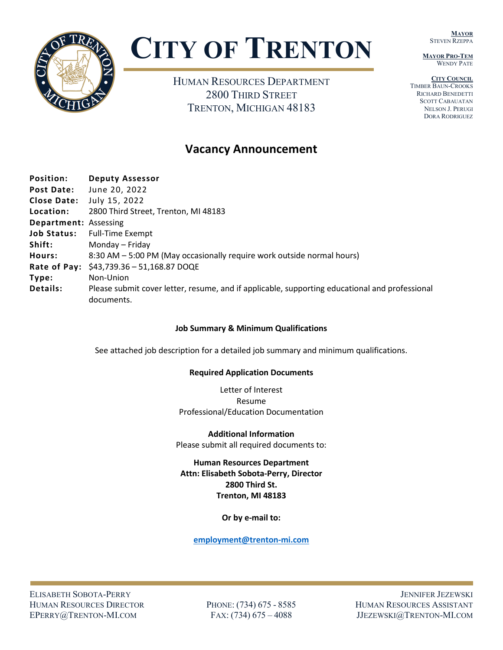**MAYOR** STEVEN RZEPPA

**MAYOR PRO-TEM** WENDY PATE





# **CITY OF TRENTON**

HUMAN RESOURCES DEPARTMENT 2800 THIRD STREET TRENTON, MICHIGAN 48183

## **Vacancy Announcement**

| Position:                    | <b>Deputy Assessor</b>                                                                                       |
|------------------------------|--------------------------------------------------------------------------------------------------------------|
| <b>Post Date:</b>            | June 20, 2022                                                                                                |
| <b>Close Date:</b>           | July 15, 2022                                                                                                |
| Location:                    | 2800 Third Street, Trenton, MI 48183                                                                         |
| <b>Department: Assessing</b> |                                                                                                              |
| <b>Job Status:</b>           | <b>Full-Time Exempt</b>                                                                                      |
| Shift:                       | Monday – Friday                                                                                              |
| Hours:                       | 8:30 AM – 5:00 PM (May occasionally require work outside normal hours)                                       |
| Rate of Pay:                 | \$43,739.36 - 51,168.87 DOQE                                                                                 |
| Type:                        | Non-Union                                                                                                    |
| <b>Details:</b>              | Please submit cover letter, resume, and if applicable, supporting educational and professional<br>documents. |

#### **Job Summary & Minimum Qualifications**

See attached job description for a detailed job summary and minimum qualifications.

#### **Required Application Documents**

Letter of Interest Resume Professional/Education Documentation

**Additional Information** Please submit all required documents to:

#### **Human Resources Department Attn: Elisabeth Sobota-Perry, Director 2800 Third St. Trenton, MI 48183**

**Or by e-mail to:**

**employment@trenton-mi.com**

ELISABETH SOBOTA-PERRY JENNIFER JEZEWSKI HUMAN RESOURCES DIRECTOR PHONE: (734) 675 - 8585 HUMAN RESOURCES ASSISTANT EPERRY@TRENTON-MI.COM FAX: (734) 675 – 4088 JJEZEWSKI@TRENTON-MI.COM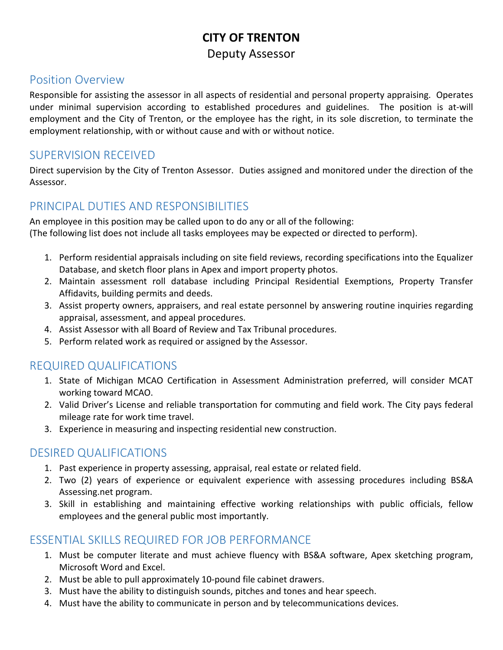## **CITY OF TRENTON** Deputy Assessor

#### Position Overview

Responsible for assisting the assessor in all aspects of residential and personal property appraising. Operates under minimal supervision according to established procedures and guidelines. The position is at-will employment and the City of Trenton, or the employee has the right, in its sole discretion, to terminate the employment relationship, with or without cause and with or without notice.

#### SUPERVISION RECEIVED

Direct supervision by the City of Trenton Assessor. Duties assigned and monitored under the direction of the Assessor.

## PRINCIPAL DUTIES AND RESPONSIBILITIES

An employee in this position may be called upon to do any or all of the following: (The following list does not include all tasks employees may be expected or directed to perform).

- 1. Perform residential appraisals including on site field reviews, recording specifications into the Equalizer Database, and sketch floor plans in Apex and import property photos.
- 2. Maintain assessment roll database including Principal Residential Exemptions, Property Transfer Affidavits, building permits and deeds.
- 3. Assist property owners, appraisers, and real estate personnel by answering routine inquiries regarding appraisal, assessment, and appeal procedures.
- 4. Assist Assessor with all Board of Review and Tax Tribunal procedures.
- 5. Perform related work as required or assigned by the Assessor.

## REQUIRED QUALIFICATIONS

- 1. State of Michigan MCAO Certification in Assessment Administration preferred, will consider MCAT working toward MCAO.
- 2. Valid Driver's License and reliable transportation for commuting and field work. The City pays federal mileage rate for work time travel.
- 3. Experience in measuring and inspecting residential new construction.

#### DESIRED QUALIFICATIONS

- 1. Past experience in property assessing, appraisal, real estate or related field.
- 2. Two (2) years of experience or equivalent experience with assessing procedures including BS&A Assessing.net program.
- 3. Skill in establishing and maintaining effective working relationships with public officials, fellow employees and the general public most importantly.

#### ESSENTIAL SKILLS REQUIRED FOR JOB PERFORMANCE

- 1. Must be computer literate and must achieve fluency with BS&A software, Apex sketching program, Microsoft Word and Excel.
- 2. Must be able to pull approximately 10-pound file cabinet drawers.
- 3. Must have the ability to distinguish sounds, pitches and tones and hear speech.
- 4. Must have the ability to communicate in person and by telecommunications devices.